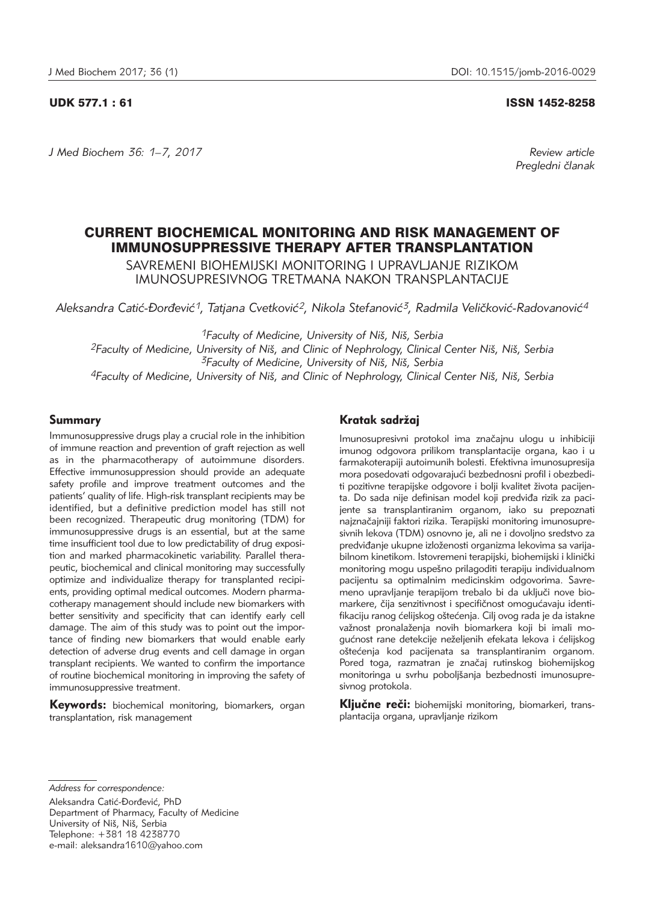## UDK 577.1 : 61 ISSN 1452-8258

*J Med Biochem 36: 1–7, 2017 Review article*

*Pregledni ~lanak*

# CURRENT BIOCHEMICAL MONITORING AND RISK MANAGEMENT OF IMMUNOSUPPRESSIVE THERAPY AFTER TRANSPLANTATION

SAVREMENI BIOHEMIJSKI MONITORING I UPRAVLJANJE RIZIKOM IMUNOSUPRESIVNOG TRETMANA NAKON TRANSPLANTACIJE

Aleksandra Catić-Đorđević<sup>1</sup>, Tatjana Cvetković<sup>2</sup>, Nikola Stefanović<sup>3</sup>, Radmila Veličković-Radovanović<sup>4</sup>

<sup>1</sup> Faculty of Medicine, University of Niš, Niš, Serbia *2Faculty of Medicine, University of Ni{, and Clinic of Nephrology, Clinical Center Ni{, Ni{, Serbia 3Faculty of Medicine, University of Ni{, Ni{, Serbia 4Faculty of Medicine, University of Ni{, and Clinic of Nephrology, Clinical Center Ni{, Ni{, Serbia*

### Summary

Immunosuppressive drugs play a crucial role in the inhibition of immune reaction and prevention of graft rejection as well as in the pharmacotherapy of autoimmune disorders. Effective immunosuppression should provide an adequate safety profile and improve treatment outcomes and the patients' quality of life. High-risk transplant recipients may be identified, but a definitive prediction model has still not been recognized. Therapeutic drug monitoring (TDM) for immuno suppressive drugs is an essential, but at the same time insufficient tool due to low predictability of drug exposition and marked pharmacokinetic variability. Parallel therapeutic, biochemical and clinical monitoring may successfully optimize and individualize therapy for transplanted recipients, providing optimal medical outcomes. Modern pharmacotherapy management should include new biomarkers with better sensitivity and specificity that can identify early cell damage. The aim of this study was to point out the importance of finding new biomarkers that would enable early detection of adverse drug events and cell damage in organ transplant recipients. We wanted to confirm the importance of routine biochemical monitoring in improving the safety of immunosuppressive treatment.

**Keywords:** biochemical monitoring, biomarkers, organ transplantation, risk management

## Kratak sadržai

Imunosupresivni protokol ima značajnu ulogu u inhibiciji imunog odgovora prilikom transplantacije organa, kao i u farmakoterapiji autoimunih bolesti. Efektivna imunosupresija mora posedovati odgovarajući bezbednosni profil i obezbediti pozitivne terapijske odgovore i bolji kvalitet života pacijenta. Do sada nije definisan model koji predviđa rizik za pacijente sa transplantiranim organom, iako su prepoznati najznačajniji faktori rizika. Terapijski monitoring imunosupresivnih lekova (TDM) osnovno je, ali ne i dovoljno sredstvo za predviđanje ukupne izloženosti organizma lekovima sa varijabilnom kinetikom. Istovremeni terapijski, biohemijski i klinički monitoring mogu uspešno prilagoditi terapiju individualnom pacijentu sa optimalnim medicinskim odgovorima. Savremeno upravljanje terapijom trebalo bi da uključi nove biomarkere, čija senzitivnost i specifičnost omogućavaju identifikaciju ranog ćelijskog oštećenja. Cilj ovog rada je da istakne važnost pronalaženja novih biomarkera koji bi imali mogućnost rane detekcije neželjenih efekata lekova i ćelijskog oštećenja kod pacijenata sa transplantiranim organom. Pored toga, razmatran je značaj rutinskog biohemijskog monitoringa u svrhu poboljšanja bezbednosti imunosupresivnog protokola.

Kliučne reči: biohemijski monitoring, biomarkeri, transplantacija organa, upravljanje rizikom

*Address for correspondence:*

Aleksandra Catić-Đorđević, PhD Department of Pharmacy, Faculty of Medicine University of Niš, Niš, Serbia Telephone: +381 18 4238770 e-mail: aleksandra1610@yahoo.com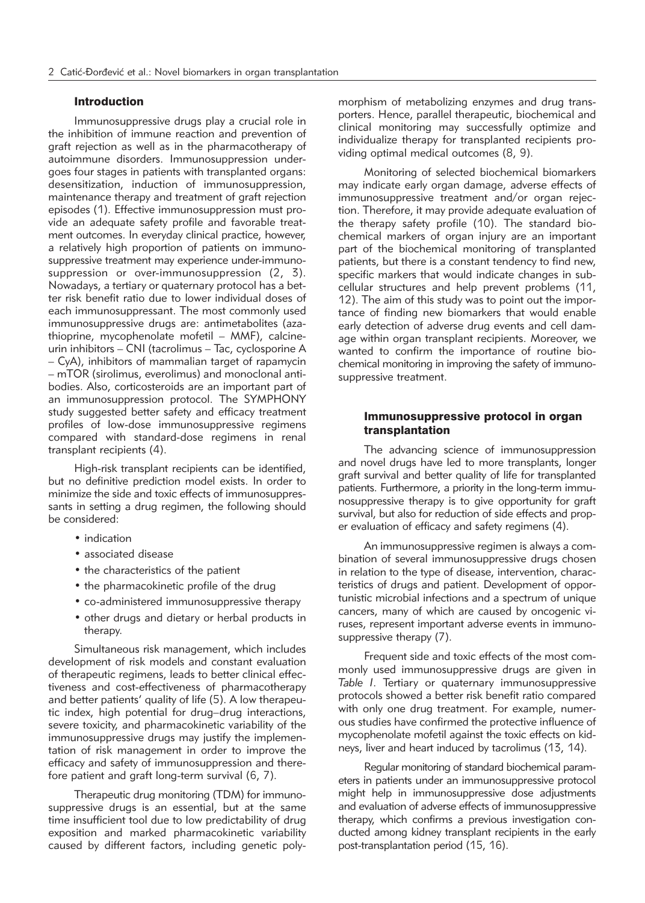### **Introduction**

Immunosuppressive drugs play a crucial role in the inhibition of immune reaction and prevention of graft rejection as well as in the pharmacotherapy of autoimmune disorders. Immunosuppression undergoes four stages in patients with transplanted organs: desensitization, induction of immunosuppression, maintenance therapy and treatment of graft rejection episodes (1). Effective immunosuppression must provide an adequate safety profile and favorable treatment outcomes. In everyday clinical practice, however, a relatively high proportion of patients on immunosuppressive treatment may experience under-immunosuppression or over-immunosuppression (2, 3). Nowadays, a tertiary or quaternary protocol has a better risk benefit ratio due to lower individual doses of each immunosuppressant. The most commonly used immunosuppressive drugs are: antimetabolites (azathioprine, mycophenolate mofetil - MMF), calcineurin inhibitors – CNI (tacrolimus – Tac, cyclosporine A – CyA), inhibitors of mammalian target of rapamycin – mTOR (sirolimus, everolimus) and monoclonal antibodies. Also, corticosteroids are an important part of an immunosuppression protocol. The SYMPHONY study suggested better safety and efficacy treatment profiles of low-dose immunosuppressive regimens compared with standard-dose regimens in renal transplant recipients (4).

High-risk transplant recipients can be identified, but no definitive prediction model exists. In order to minimize the side and toxic effects of immunosuppressants in setting a drug regimen, the following should be considered:

- indication
- associated disease
- the characteristics of the patient
- the pharmacokinetic profile of the drug
- co-administered immunosuppressive therapy
- other drugs and dietary or herbal products in therapy.

Simultaneous risk management, which includes development of risk models and constant evaluation of therapeutic regimens, leads to better clinical effectiveness and cost-effectiveness of pharmacotherapy and better patients' quality of life (5). A low therapeutic index, high potential for drug–drug interactions, severe toxicity, and pharmacokinetic variability of the immunosuppressive drugs may justify the implementation of risk management in order to improve the efficacy and safety of immunosuppression and therefore patient and graft long-term survival (6, 7).

Therapeutic drug monitoring (TDM) for immunosuppressive drugs is an essential, but at the same time insufficient tool due to low predictability of drug exposition and marked pharmacokinetic variability caused by different factors, including genetic polymorphism of metabolizing enzymes and drug transporters. Hence, parallel therapeutic, biochemical and clinical monitoring may successfully optimize and individualize therapy for transplanted recipients providing optimal medical outcomes (8, 9).

Monitoring of selected biochemical biomarkers may indicate early organ damage, adverse effects of immunosuppressive treatment and/or organ rejection. Therefore, it may provide adequate evaluation of the therapy safety profile (10). The standard biochemical markers of organ injury are an important part of the biochemical monitoring of transplanted patients, but there is a constant tendency to find new, specific markers that would indicate changes in subcellular structures and help prevent problems (11, 12). The aim of this study was to point out the importance of finding new biomarkers that would enable early detection of adverse drug events and cell damage within organ transplant recipients. Moreover, we wanted to confirm the importance of routine biochemical monitoring in improving the safety of immunosuppressive treatment.

## Immunosuppressive protocol in organ transplantation

The advancing science of immunosuppression and novel drugs have led to more transplants, longer graft survival and better quality of life for transplanted patients. Furthermore, a priority in the long-term immuno suppressive therapy is to give opportunity for graft survival, but also for reduction of side effects and proper evaluation of efficacy and safety regimens (4).

An immunosuppressive regimen is always a combination of several immunosuppressive drugs chosen in relation to the type of disease, intervention, characteristics of drugs and patient. Development of opportunistic microbial infections and a spectrum of unique cancers, many of which are caused by oncogenic viruses, represent important adverse events in immunosuppressive therapy (7).

Frequent side and toxic effects of the most commonly used immunosuppressive drugs are given in *Table I*. Tertiary or quaternary immunosuppressive protocols showed a better risk benefit ratio compared with only one drug treatment. For example, numerous studies have confirmed the protective influence of mycophenolate mofetil against the toxic effects on kidneys, liver and heart induced by tacrolimus (13, 14).

Regular monitoring of standard biochemical parameters in patients under an immunosuppressive protocol might help in immunosuppressive dose adjustments and evaluation of adverse effects of immuno suppressive therapy, which confirms a previous investigation conducted among kidney transplant recipients in the early post-transplantation period (15, 16).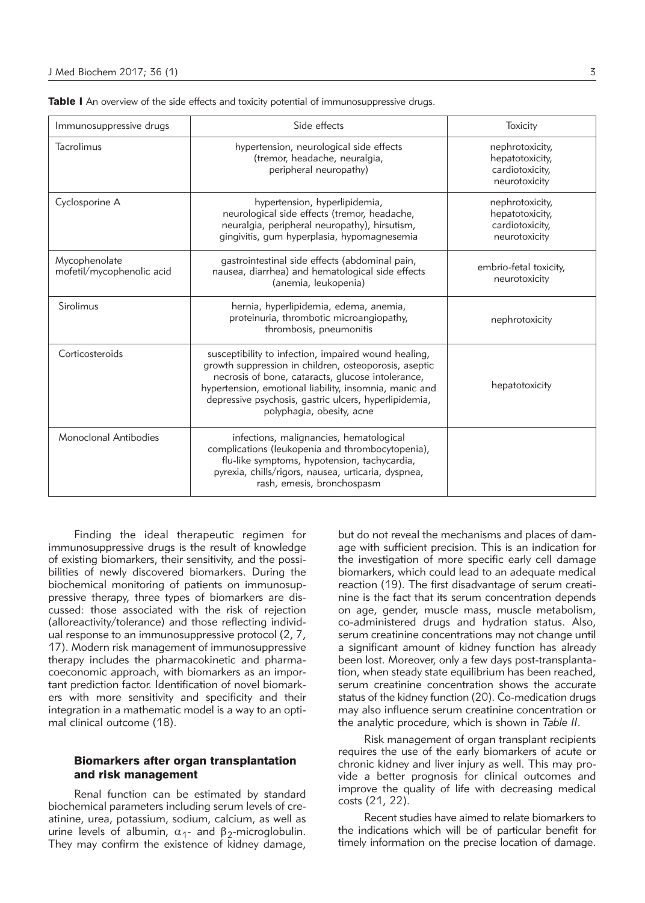| Immunosuppressive drugs                                                                                                                                                                                                                                   | Side effects                                                                                                                                                                                                                                                                                                       | <b>Toxicity</b>                                                        |
|-----------------------------------------------------------------------------------------------------------------------------------------------------------------------------------------------------------------------------------------------------------|--------------------------------------------------------------------------------------------------------------------------------------------------------------------------------------------------------------------------------------------------------------------------------------------------------------------|------------------------------------------------------------------------|
| Tacrolimus                                                                                                                                                                                                                                                | hypertension, neurological side effects<br>(tremor, headache, neuralgia,<br>peripheral neuropathy)                                                                                                                                                                                                                 | nephrotoxicity,<br>hepatotoxicity,<br>cardiotoxicity,<br>neurotoxicity |
| Cyclosporine A                                                                                                                                                                                                                                            | hypertension, hyperlipidemia,<br>neurological side effects (tremor, headache,<br>neuralgia, peripheral neuropathy), hirsutism,<br>gingivitis, gum hyperplasia, hypomagnesemia                                                                                                                                      | nephrotoxicity,<br>hepatotoxicity,<br>cardiotoxicity,<br>neurotoxicity |
| Mycophenolate<br>mofetil/mycophenolic acid                                                                                                                                                                                                                | gastrointestinal side effects (abdominal pain,<br>embrio-fetal toxicity,<br>nausea, diarrhea) and hematological side effects<br>neurotoxicity<br>(anemia, leukopenia)                                                                                                                                              |                                                                        |
| Sirolimus                                                                                                                                                                                                                                                 | hernia, hyperlipidemia, edema, anemia,<br>proteinuria, thrombotic microangiopathy,<br>thrombosis, pneumonitis                                                                                                                                                                                                      | nephrotoxicity                                                         |
| Corticosteroids                                                                                                                                                                                                                                           | susceptibility to infection, impaired wound healing,<br>growth suppression in children, osteoporosis, aseptic<br>necrosis of bone, cataracts, glucose intolerance,<br>hypertension, emotional liability, insomnia, manic and<br>depressive psychosis, gastric ulcers, hyperlipidemia,<br>polyphagia, obesity, acne | hepatotoxicity                                                         |
| Monoclonal Antibodies<br>infections, malignancies, hematological<br>complications (leukopenia and thrombocytopenia),<br>flu-like symptoms, hypotension, tachycardia,<br>pyrexia, chills/rigors, nausea, urticaria, dyspnea,<br>rash, emesis, bronchospasm |                                                                                                                                                                                                                                                                                                                    |                                                                        |

Table I An overview of the side effects and toxicity potential of immunosuppressive drugs.

Finding the ideal therapeutic regimen for immunosuppressive drugs is the result of knowledge of existing biomarkers, their sensitivity, and the possibilities of newly discovered biomarkers. During the biochemical monitoring of patients on immunosuppressive therapy, three types of biomarkers are discussed: those associated with the risk of rejection (alloreactivity/tolerance) and those reflecting individual response to an immunosuppressive protocol (2, 7, 17). Modern risk management of immunosuppressive therapy includes the pharmacokinetic and pharmacoeconomic approach, with biomarkers as an important prediction factor. Identification of novel biomarkers with more sensitivity and specificity and their integration in a mathematic model is a way to an optimal clinical outcome (18).

#### Biomarkers after organ transplantation and risk management

Renal function can be estimated by standard biochemical parameters including serum levels of creatinine, urea, potassium, sodium, calcium, as well as urine levels of albumin,  $\alpha_1$ - and  $\beta_2$ -microglobulin. They may confirm the existence of kidney damage, but do not reveal the mechanisms and places of damage with sufficient precision. This is an indication for the investigation of more specific early cell damage biomarkers, which could lead to an adequate medical reaction (19). The first disadvantage of serum creatinine is the fact that its serum concentration depends on age, gender, muscle mass, muscle metabolism, co-administered drugs and hydration status. Also, serum creatinine concentrations may not change until a significant amount of kidney function has already been lost. Moreover, only a few days post-transplantation, when steady state equilibrium has been reached, serum creatinine concentration shows the accurate status of the kidney function (20). Co-medication drugs may also influence serum creatinine concentration or the analytic procedure, which is shown in *Table II*.

Risk management of organ transplant recipients requires the use of the early biomarkers of acute or chronic kidney and liver injury as well. This may provide a better prognosis for clinical outcomes and improve the quality of life with decreasing medical costs (21, 22).

Recent studies have aimed to relate biomarkers to the indications which will be of particular benefit for timely information on the precise location of damage.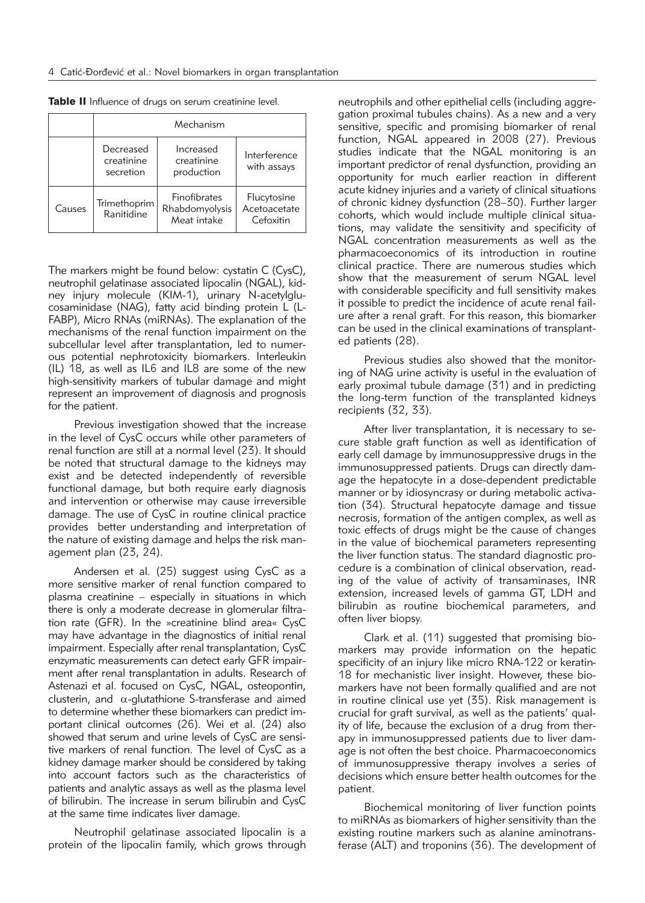|        | Mechanism                            |                                               |                                          |
|--------|--------------------------------------|-----------------------------------------------|------------------------------------------|
|        | Decreased<br>creatinine<br>secretion | Increased<br>creatinine<br>production         | Interference<br>with assays              |
| Causes | Trimethoprim<br>Ranitidine           | Finofibrates<br>Rhabdomyolysis<br>Meat intake | Flucytosine<br>Acetoacetate<br>Cefoxitin |

Table II Influence of drugs on serum creatinine level.

The markers might be found below: cystatin C (CysC), neutrophil gelatinase associated lipocalin (NGAL), kidney injury molecule (KIM-1), urinary N-acetylglucosaminidase (NAG), fatty acid binding protein L (L-FABP), Micro RNAs (miRNAs). The explanation of the mechanisms of the renal function impairment on the subcellular level after transplantation, led to numerous potential nephrotoxicity biomarkers. Interleukin (IL) 18, as well as IL6 and IL8 are some of the new high-sensitivity markers of tubular damage and might represent an improvement of diagnosis and prognosis for the patient.

Previous investigation showed that the increase in the level of CysC occurs while other parameters of renal function are still at a normal level (23). It should be noted that structural damage to the kidneys may exist and be detected independently of reversible functional damage, but both require early diagnosis and intervention or otherwise may cause irreversible damage. The use of CysC in routine clinical practice provides better understanding and interpretation of the nature of existing damage and helps the risk management plan (23, 24).

Andersen et al. (25) suggest using CysC as a more sensitive marker of renal function compared to plasma creatinine – especially in situations in which there is only a moderate decrease in glomerular filtration rate (GFR). In the »creatinine blind area« CysC may have advantage in the diagnostics of initial renal impairment. Especially after renal transplantation, CysC enzymatic measurements can detect early GFR impairment after renal transplantation in adults. Research of Astenazi et al. focused on CysC, NGAL, osteopontin, clusterin, and  $\alpha$ -glutathione S-transferase and aimed to determine whether these biomarkers can predict im portant clinical outcomes (26). Wei et al. (24) also showed that serum and urine levels of CysC are sensitive markers of renal function. The level of CysC as a kidney damage marker should be considered by taking into account factors such as the characteristics of patients and analytic assays as well as the plasma level of bilirubin. The increase in serum bilirubin and CysC at the same time indicates liver damage.

Neutrophil gelatinase associated lipocalin is a protein of the lipocalin family, which grows through neutrophils and other epithelial cells (including aggregation proximal tubules chains). As a new and a very sensitive, specific and promising biomarker of renal function, NGAL appeared in 2008 (27). Previous studies indicate that the NGAL monitoring is an important predictor of renal dysfunction, providing an opportunity for much earlier reaction in different acute kidney injuries and a variety of clinical situations of chronic kidney dysfunction (28–30). Further larger cohorts, which would include multiple clinical situations, may validate the sensitivity and specificity of NGAL concentration measurements as well as the pharmacoeconomics of its introduction in routine clinical practice. There are numerous studies which show that the measurement of serum NGAL level with considerable specificity and full sensitivity makes it possible to predict the incidence of acute renal failure after a renal graft. For this reason, this biomarker can be used in the clinical examinations of transplanted patients (28).

Previous studies also showed that the monitoring of NAG urine activity is useful in the evaluation of early proximal tubule damage (31) and in predicting the long-term function of the transplanted kidneys recipients (32, 33).

After liver transplantation, it is necessary to secure stable graft function as well as identification of early cell damage by immunosuppressive drugs in the immunosuppressed patients. Drugs can directly damage the hepatocyte in a dose-dependent predictable manner or by idiosyncrasy or during metabolic activation (34). Structural hepatocyte damage and tissue necrosis, formation of the antigen complex, as well as toxic effects of drugs might be the cause of changes in the value of biochemical parameters representing the liver function status. The standard diagnostic procedure is a combination of clinical observation, reading of the value of activity of transaminases, INR extension, increased levels of gamma GT, LDH and bilirubin as routine biochemical parameters, and often liver biopsy.

Clark et al. (11) suggested that promising biomarkers may provide information on the hepatic specificity of an injury like micro RNA-122 or keratin-18 for mechanistic liver insight. However, these biomarkers have not been formally qualified and are not in routine clinical use yet (35). Risk management is crucial for graft survival, as well as the patients' quality of life, because the exclusion of a drug from therapy in immunosuppressed patients due to liver damage is not often the best choice. Pharmaco economics of immunosuppressive therapy involves a series of decisions which ensure better health outcomes for the patient.

Biochemical monitoring of liver function points to miRNAs as biomarkers of higher sensitivity than the existing routine markers such as alanine aminotransferase (ALT) and troponins (36). The development of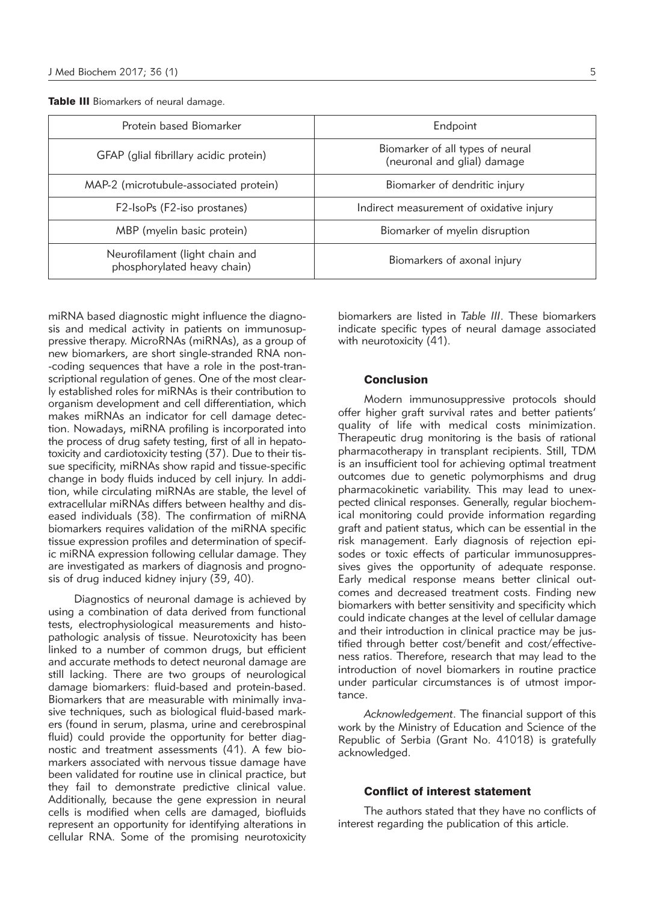Table III Biomarkers of neural damage.

| Protein based Biomarker                                       | Endpoint                                                        |  |
|---------------------------------------------------------------|-----------------------------------------------------------------|--|
| GFAP (glial fibrillary acidic protein)                        | Biomarker of all types of neural<br>(neuronal and glial) damage |  |
| MAP-2 (microtubule-associated protein)                        | Biomarker of dendritic injury                                   |  |
| F2-IsoPs (F2-iso prostanes)                                   | Indirect measurement of oxidative injury                        |  |
| MBP (myelin basic protein)                                    | Biomarker of myelin disruption                                  |  |
| Neurofilament (light chain and<br>phosphorylated heavy chain) | Biomarkers of axonal injury                                     |  |

miRNA based diagnostic might influence the diagnosis and medical activity in patients on immunosuppressive therapy. MicroRNAs (miRNAs), as a group of new biomarkers, are short single-stranded RNA non- -coding sequences that have a role in the post-transcriptional regulation of genes. One of the most clearly established roles for miRNAs is their contribution to organism development and cell differentiation, which makes miRNAs an indicator for cell damage detection. Nowadays, miRNA profiling is incorporated into the process of drug safety testing, first of all in hepatotoxicity and cardiotoxicity testing (37). Due to their tissue specificity, miRNAs show rapid and tissue-specific change in body fluids induced by cell injury. In addition, while circulating miRNAs are stable, the level of extracellular miRNAs differs between healthy and diseased individuals (38). The confirmation of miRNA biomarkers requires validation of the miRNA specific tissue expression profiles and determination of specific miRNA expression following cellular damage. They are investigated as markers of diagnosis and prognosis of drug induced kidney injury (39, 40).

Diagnostics of neuronal damage is achieved by using a combination of data derived from functional tests, electrophysiological measurements and histopathologic analysis of tissue. Neurotoxicity has been linked to a number of common drugs, but efficient and accurate methods to detect neuronal damage are still lacking. There are two groups of neurological damage biomarkers: fluid-based and protein-based. Biomarkers that are measurable with minimally invasive techniques, such as biological fluid-based markers (found in serum, plasma, urine and cerebrospinal fluid) could provide the opportunity for better diagnostic and treatment assessments (41). A few biomarkers associated with nervous tissue damage have been validated for routine use in clinical practice, but they fail to demonstrate predictive clinical value. Additionally, because the gene expression in neural cells is modified when cells are damaged, biofluids represent an opportunity for identifying alterations in cellular RNA. Some of the promising neurotoxicity

biomarkers are listed in *Table III*. These biomarkers indicate specific types of neural damage associated with neurotoxicity (41).

#### **Conclusion**

Modern immunosuppressive protocols should offer higher graft survival rates and better patients' quality of life with medical costs minimization. Therapeutic drug monitoring is the basis of rational pharmacotherapy in transplant recipients. Still, TDM is an insufficient tool for achieving optimal treatment outcomes due to genetic polymorphisms and drug pharmacokinetic variability. This may lead to unexpected clinical responses. Generally, regular biochemical monitoring could provide information regarding graft and patient status, which can be essential in the risk management. Early diagnosis of rejection episodes or toxic effects of particular immunosuppressives gives the opportunity of adequate response. Early medical response means better clinical outcomes and decreased treatment costs. Finding new biomarkers with better sensitivity and specificity which could indicate changes at the level of cellular damage and their introduction in clinical practice may be justified through better cost/benefit and cost/effectiveness ratios. Therefore, research that may lead to the introduction of novel biomarkers in routine practice under particular circumstances is of utmost importance.

*Acknowledgement*. The financial support of this work by the Ministry of Education and Science of the Republic of Serbia (Grant No. 41018) is gratefully acknowledged.

#### Conflict of interest statement

The authors stated that they have no conflicts of interest regarding the publication of this article.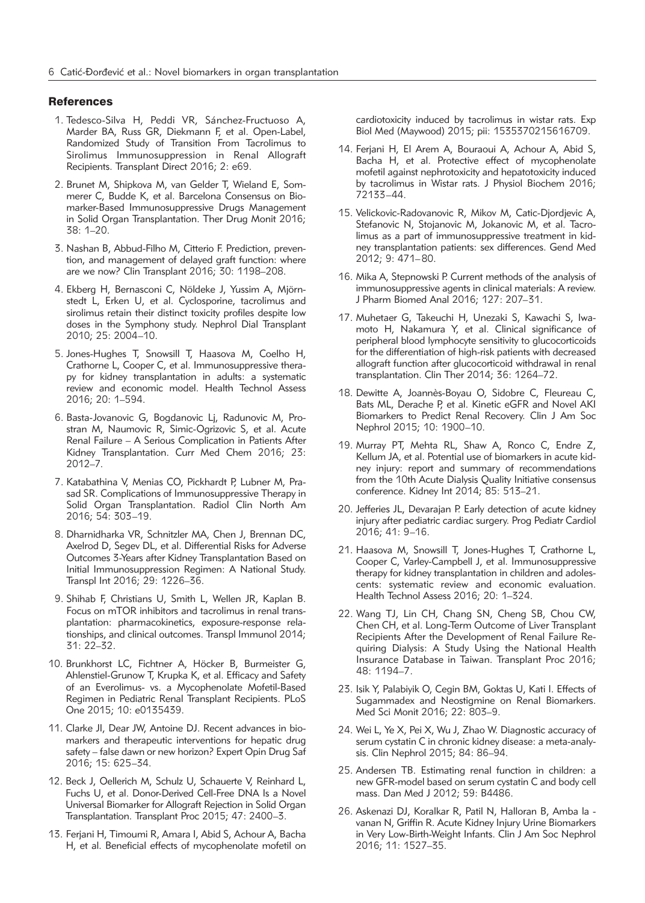#### **References**

- 1. Tedesco-Silva H, Peddi VR, Sánchez-Fructuoso A, Marder BA, Russ GR, Diekmann F, et al. Open-Label, Randomized Study of Transition From Tacrolimus to Sirolimus Immuno suppression in Renal Allograft Recipients. Transplant Direct 2016; 2: e69.
- 2. Brunet M, Shipkova M, van Gelder T, Wieland E, Sommerer C, Budde K, et al. Barcelona Consensus on Biomarker-Based Immunosuppressive Drugs Management in Solid Organ Transplantation. Ther Drug Monit 2016; 38: 1–20.
- 3. Nashan B, Abbud-Filho M, Citterio F. Prediction, prevention, and management of delayed graft function: where are we now? Clin Transplant 2016; 30: 1198–208.
- 4. Ekberg H, Bernasconi C, Nöldeke J, Yussim A, Mjörnstedt L, Erken U, et al. Cyclosporine, tacrolimus and sirolimus retain their distinct toxicity profiles despite low doses in the Symphony study. Nephrol Dial Transplant 2010; 25: 2004–10.
- 5. Jones-Hughes T, Snowsill T, Haasova M, Coelho H, Crathorne L, Cooper C, et al. Immunosuppressive therapy for kidney transplantation in adults: a systematic review and economic model. Health Technol Assess 2016; 20: 1–594.
- 6. Basta-Jovanovic G, Bogdanovic Li, Radunovic M, Prostran M, Naumovic R, Simic-Ogrizovic S, et al. Acute Renal Failure – A Serious Complication in Patients After Kidney Transplantation. Curr Med Chem 2016; 23: 2012–7.
- 7. Katabathina V, Menias CO, Pickhardt P, Lubner M, Prasad SR. Complications of Immunosuppressive Therapy in Solid Organ Transplantation. Radiol Clin North Am 2016; 54: 303–19.
- 8. Dharnidharka VR, Schnitzler MA, Chen J, Brennan DC, Axelrod D, Segev DL, et al. Differential Risks for Adverse Outcomes 3-Years after Kidney Transplantation Based on Initial Immunosuppression Regimen: A National Study. Transpl Int 2016; 29: 1226–36.
- 9. Shihab F, Christians U, Smith L, Wellen JR, Kaplan B. Focus on mTOR inhibitors and tacrolimus in renal transplantation: pharmacokinetics, exposure-response relationships, and clinical outcomes. Transpl Immunol 2014; 31: 22–32.
- 10. Brunkhorst LC, Fichtner A, Höcker B, Burmeister G, Ahlenstiel-Grunow T, Krupka K, et al. Efficacy and Safety of an Everolimus- vs. a Mycophenolate Mofetil-Based Regimen in Pediatric Renal Transplant Recipients. PLoS One 2015; 10: e0135439.
- 11. Clarke JI, Dear JW, Antoine DJ. Recent advances in biomarkers and therapeutic interventions for hepatic drug safety – false dawn or new horizon? Expert Opin Drug Saf 2016; 15: 625–34.
- 12. Beck J, Oellerich M, Schulz U, Schauerte V, Reinhard L, Fuchs U, et al. Donor-Derived Cell-Free DNA Is a Novel Universal Biomarker for Allograft Rejection in Solid Organ Transplantation. Transplant Proc 2015; 47: 2400–3.
- 13. Ferjani H, Timoumi R, Amara I, Abid S, Achour A, Bacha H, et al. Beneficial effects of mycophenolate mofetil on

cardiotoxicity induced by tacrolimus in wistar rats. Exp Biol Med (Maywood) 2015; pii: 1535370215616709.

- 14. Ferjani H, El Arem A, Bouraoui A, Achour A, Abid S, Bacha H, et al. Protective effect of mycophenolate mofetil against nephrotoxicity and hepatotoxicity induced by tacrolimus in Wistar rats. J Physiol Biochem 2016; 72133–44.
- 15. Velickovic-Radovanovic R, Mikov M, Catic-Djordjevic A, Stefanovic N, Stojanovic M, Jokanovic M, et al. Tacrolimus as a part of immunosuppressive treatment in kidney transplantation patients: sex differences. Gend Med 2012; 9: 471–80.
- 16. Mika A, Stepnowski P. Current methods of the analysis of immunosuppressive agents in clinical materials: A review. J Pharm Biomed Anal 2016; 127: 207–31.
- 17. Muhetaer G, Takeuchi H, Unezaki S, Kawachi S, Iwamoto H, Nakamura Y, et al. Clinical significance of peripheral blood lymphocyte sensitivity to glucocorticoids for the differentiation of high-risk patients with decreased allograft function after glucocorticoid withdrawal in renal transplantation. Clin Ther 2014; 36: 1264–72.
- 18. Dewitte A, Joannès-Boyau O, Sidobre C, Fleureau C, Bats ML, Derache P, et al. Kinetic eGFR and Novel AKI Biomarkers to Predict Renal Recovery. Clin J Am Soc Nephrol 2015; 10: 1900–10.
- 19. Murray PT, Mehta RL, Shaw A, Ronco C, Endre Z, Kellum JA, et al. Potential use of biomarkers in acute kidney injury: report and summary of recommendations from the 10th Acute Dialysis Quality Initiative consensus conference. Kidney Int 2014; 85: 513–21.
- 20. Jefferies JL, Devarajan P. Early detection of acute kidney injury after pediatric cardiac surgery. Prog Pediatr Cardiol 2016; 41: 9–16.
- 21. Haasova M, Snowsill T, Jones-Hughes T, Crathorne L, Cooper C, Varley-Campbell J, et al. Immunosuppressive therapy for kidney transplantation in children and adolescents: systematic review and economic evaluation. Health Technol Assess 2016; 20: 1–324.
- 22. Wang TJ, Lin CH, Chang SN, Cheng SB, Chou CW, Chen CH, et al. Long-Term Outcome of Liver Transplant Recipients After the Development of Renal Failure Requiring Dialysis: A Study Using the National Health Insurance Database in Taiwan. Transplant Proc 2016; 48: 1194–7.
- 23. Isik Y, Palabiyik O, Cegin BM, Goktas U, Kati I. Effects of Sugammadex and Neostigmine on Renal Biomarkers. Med Sci Monit 2016; 22: 803–9.
- 24. Wei L, Ye X, Pei X, Wu J, Zhao W. Diagnostic accuracy of serum cystatin C in chronic kidney disease: a meta-analysis. Clin Nephrol 2015; 84: 86–94.
- 25. Andersen TB. Estimating renal function in children: a new GFR-model based on serum cystatin C and body cell mass. Dan Med J 2012; 59: B4486.
- 26. Askenazi DJ, Koralkar R, Patil N, Halloran B, Amba la vanan N, Griffin R. Acute Kidney Injury Urine Biomarkers in Very Low-Birth-Weight Infants. Clin J Am Soc Nephrol 2016; 11: 1527–35.